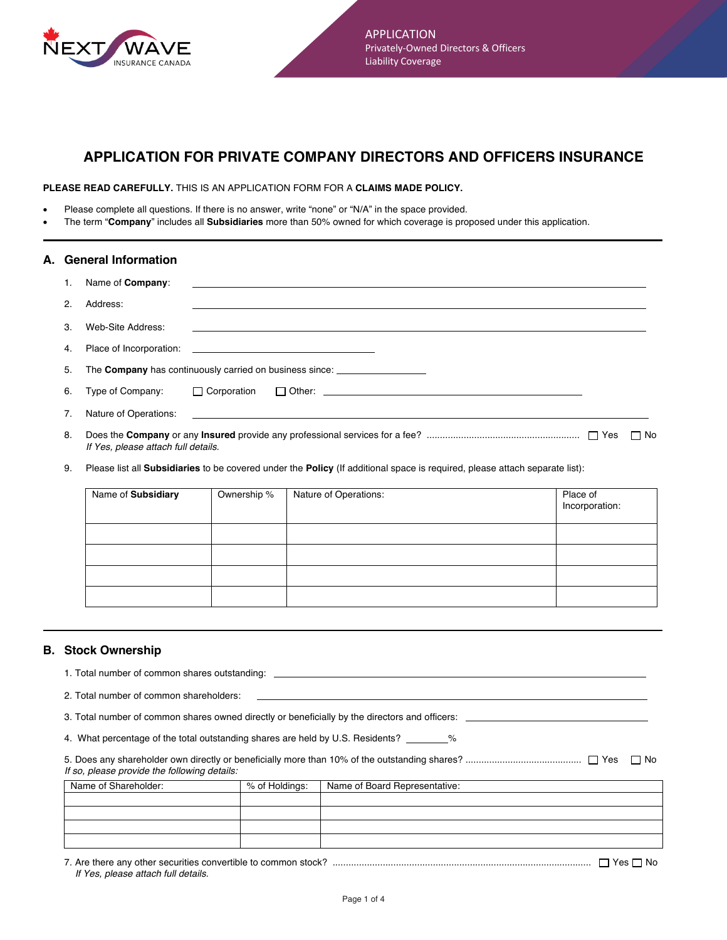

# **APPLICATION FOR PRIVATE COMPANY DIRECTORS AND OFFICERS INSURANCE**

**PLEASE READ CAREFULLY.** THIS IS AN APPLICATION FORM FOR A **CLAIMS MADE POLICY.**

- Please complete all questions. If there is no answer, write "none" or "N/A" in the space provided.
- The term "**Company**" includes all **Subsidiaries** more than 50% owned for which coverage is proposed under this application.

| A. General Information |                                     |  |                                                             |  |        |
|------------------------|-------------------------------------|--|-------------------------------------------------------------|--|--------|
|                        | Name of <b>Company</b> :            |  | <u> 1989 - Johann Stoff, amerikansk politiker (d. 1989)</u> |  |        |
| $\mathcal{P}$          | Address:                            |  |                                                             |  |        |
| 3                      | Web-Site Address:                   |  |                                                             |  |        |
| 4.                     |                                     |  |                                                             |  |        |
| 5.                     |                                     |  | The Company has continuously carried on business since:     |  |        |
| 6.                     | Type of Company: $\Box$ Corporation |  |                                                             |  |        |
|                        |                                     |  |                                                             |  |        |
| 8.                     | If Yes, please attach full details. |  |                                                             |  | l I No |

9. Please list all **Subsidiaries** to be covered under the **Policy** (If additional space is required, please attach separate list):

| Name of Subsidiary | Ownership % | Nature of Operations: | Place of<br>Incorporation: |
|--------------------|-------------|-----------------------|----------------------------|
|                    |             |                       |                            |
|                    |             |                       |                            |
|                    |             |                       |                            |
|                    |             |                       |                            |

## **B. Stock Ownership**

| 1. Total number of common shares outstanding:                                             |                                                                                                |                               |  |  |  |  |  |  |
|-------------------------------------------------------------------------------------------|------------------------------------------------------------------------------------------------|-------------------------------|--|--|--|--|--|--|
| 2. Total number of common shareholders:                                                   |                                                                                                |                               |  |  |  |  |  |  |
|                                                                                           | 3. Total number of common shares owned directly or beneficially by the directors and officers: |                               |  |  |  |  |  |  |
| 4. What percentage of the total outstanding shares are held by U.S. Residents? _________% |                                                                                                |                               |  |  |  |  |  |  |
| If so, please provide the following details:                                              |                                                                                                | l I No                        |  |  |  |  |  |  |
| Name of Shareholder:                                                                      | % of Holdings:                                                                                 | Name of Board Representative: |  |  |  |  |  |  |
|                                                                                           |                                                                                                |                               |  |  |  |  |  |  |
|                                                                                           |                                                                                                |                               |  |  |  |  |  |  |
|                                                                                           |                                                                                                |                               |  |  |  |  |  |  |
|                                                                                           |                                                                                                |                               |  |  |  |  |  |  |

7. Are there any other securities convertible to common stock? .................................................................................................. Yes No *If Yes, please attach full details.*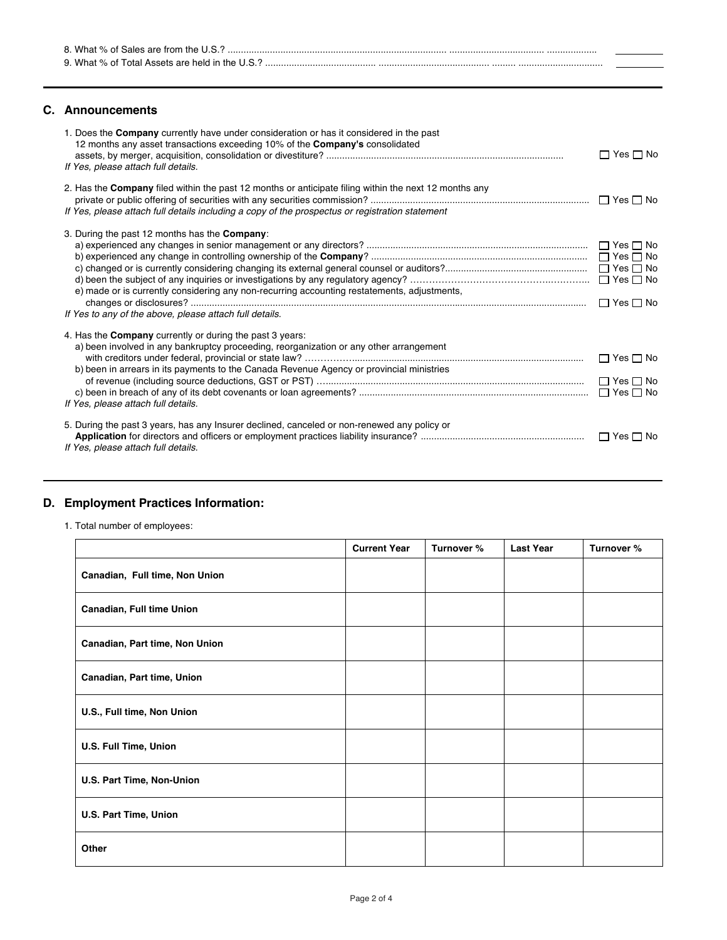| R What<br>iales are trom the L |  |
|--------------------------------|--|
| M/h<br>$\mathbf{u}$            |  |

### **C. Announcements**

| 1. Does the Company currently have under consideration or has it considered in the past<br>12 months any asset transactions exceeding 10% of the Company's consolidated<br>If Yes, please attach full details.                                                                               | $\Box$ Yes $\Box$ No |
|----------------------------------------------------------------------------------------------------------------------------------------------------------------------------------------------------------------------------------------------------------------------------------------------|----------------------|
| 2. Has the <b>Company</b> filed within the past 12 months or anticipate filing within the next 12 months any<br>If Yes, please attach full details including a copy of the prospectus or registration statement                                                                              | $\Box$ Yes $\Box$ No |
| 3. During the past 12 months has the <b>Company</b> :<br>e) made or is currently considering any non-recurring accounting restatements, adjustments,<br>If Yes to any of the above, please attach full details.                                                                              | $\Box$ Yes $\Box$ No |
| 4. Has the <b>Company</b> currently or during the past 3 years:<br>a) been involved in any bankruptcy proceeding, reorganization or any other arrangement<br>b) been in arrears in its payments to the Canada Revenue Agency or provincial ministries<br>If Yes, please attach full details. | $\Box$ Yes $\Box$ No |
| 5. During the past 3 years, has any Insurer declined, canceled or non-renewed any policy or<br>If Yes, please attach full details.                                                                                                                                                           |                      |

## **D. Employment Practices Information:**

1. Total number of employees:

|                                | <b>Current Year</b> | Turnover % | <b>Last Year</b> | Turnover % |
|--------------------------------|---------------------|------------|------------------|------------|
| Canadian, Full time, Non Union |                     |            |                  |            |
| Canadian, Full time Union      |                     |            |                  |            |
| Canadian, Part time, Non Union |                     |            |                  |            |
| Canadian, Part time, Union     |                     |            |                  |            |
| U.S., Full time, Non Union     |                     |            |                  |            |
| U.S. Full Time, Union          |                     |            |                  |            |
| U.S. Part Time, Non-Union      |                     |            |                  |            |
| U.S. Part Time, Union          |                     |            |                  |            |
| Other                          |                     |            |                  |            |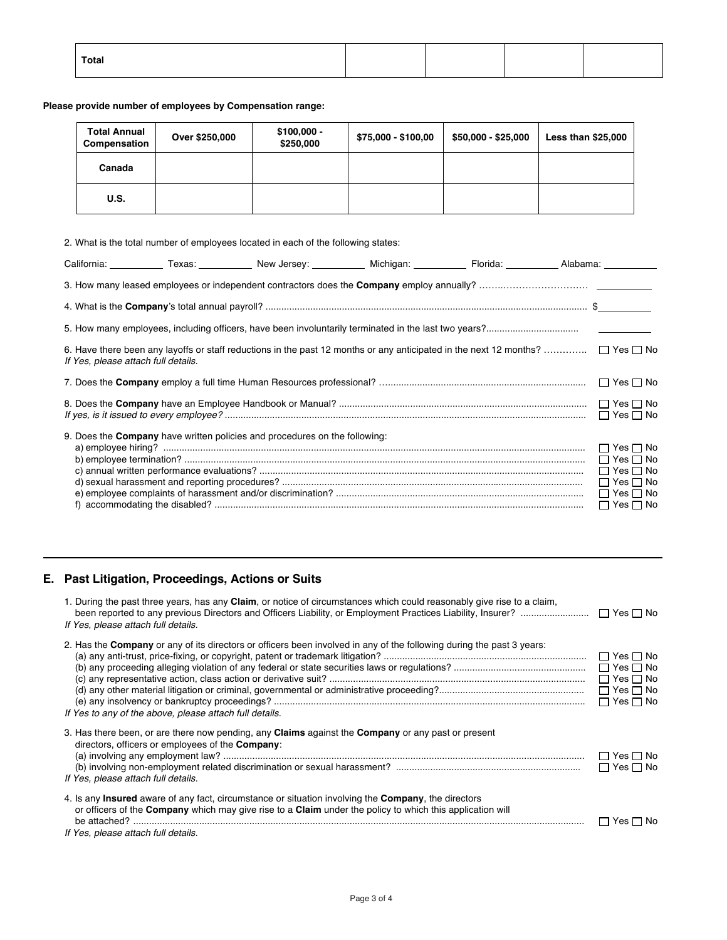| Total |  |  |
|-------|--|--|
|       |  |  |

**Please provide number of employees by Compensation range:** 

| <b>Total Annual</b><br>Compensation | Over \$250,000 | $$100,000 -$<br>\$250,000 | \$75,000 - \$100,00 | $$50,000 - $25,000$ | <b>Less than \$25,000</b> |
|-------------------------------------|----------------|---------------------------|---------------------|---------------------|---------------------------|
| Canada                              |                |                           |                     |                     |                           |
| U.S.                                |                |                           |                     |                     |                           |

|                                     | 2. What is the total number of employees located in each of the following states:                                                           |  |                      |
|-------------------------------------|---------------------------------------------------------------------------------------------------------------------------------------------|--|----------------------|
|                                     | California: ___________Texas: ______________New Jersey: _______________Michigan: _______________Florida: _____________Alabama: ____________ |  |                      |
|                                     |                                                                                                                                             |  |                      |
|                                     |                                                                                                                                             |  |                      |
|                                     |                                                                                                                                             |  |                      |
| If Yes, please attach full details. | 6. Have there been any layoffs or staff reductions in the past 12 months or any anticipated in the next 12 months? $\Box$ Yes $\Box$ No     |  |                      |
|                                     |                                                                                                                                             |  |                      |
|                                     |                                                                                                                                             |  |                      |
|                                     | 9. Does the Company have written policies and procedures on the following:                                                                  |  | $\Box$ Yes $\Box$ No |
|                                     |                                                                                                                                             |  |                      |
|                                     |                                                                                                                                             |  |                      |
|                                     |                                                                                                                                             |  |                      |
|                                     |                                                                                                                                             |  | $\Box$ Yes $\Box$ No |
|                                     |                                                                                                                                             |  |                      |

# **E. Past Litigation, Proceedings, Actions or Suits**

| 1. During the past three years, has any Claim, or notice of circumstances which could reasonably give rise to a claim,<br>If Yes, please attach full details.                                                                                                                        |                                                                                              |
|--------------------------------------------------------------------------------------------------------------------------------------------------------------------------------------------------------------------------------------------------------------------------------------|----------------------------------------------------------------------------------------------|
| 2. Has the <b>Company</b> or any of its directors or officers been involved in any of the following during the past 3 years:<br>If Yes to any of the above, please attach full details.                                                                                              | $\Box$ Yes $\Box$ No<br>$\Box$ Yes $\Box$ No<br>$\Box$ Yes $\Box$ No<br>$\Box$ Yes $\Box$ No |
| 3. Has there been, or are there now pending, any <b>Claims</b> against the <b>Company</b> or any past or present<br>directors, officers or employees of the <b>Company</b> :<br>If Yes, please attach full details.                                                                  | $\square$ Yes $\square$ No<br>$\Box$ Yes $\Box$ No                                           |
| 4. Is any <b>Insured</b> aware of any fact, circumstance or situation involving the <b>Company</b> , the directors<br>or officers of the <b>Company</b> which may give rise to a <b>Claim</b> under the policy to which this application will<br>If Yes, please attach full details. | Yes □ No                                                                                     |